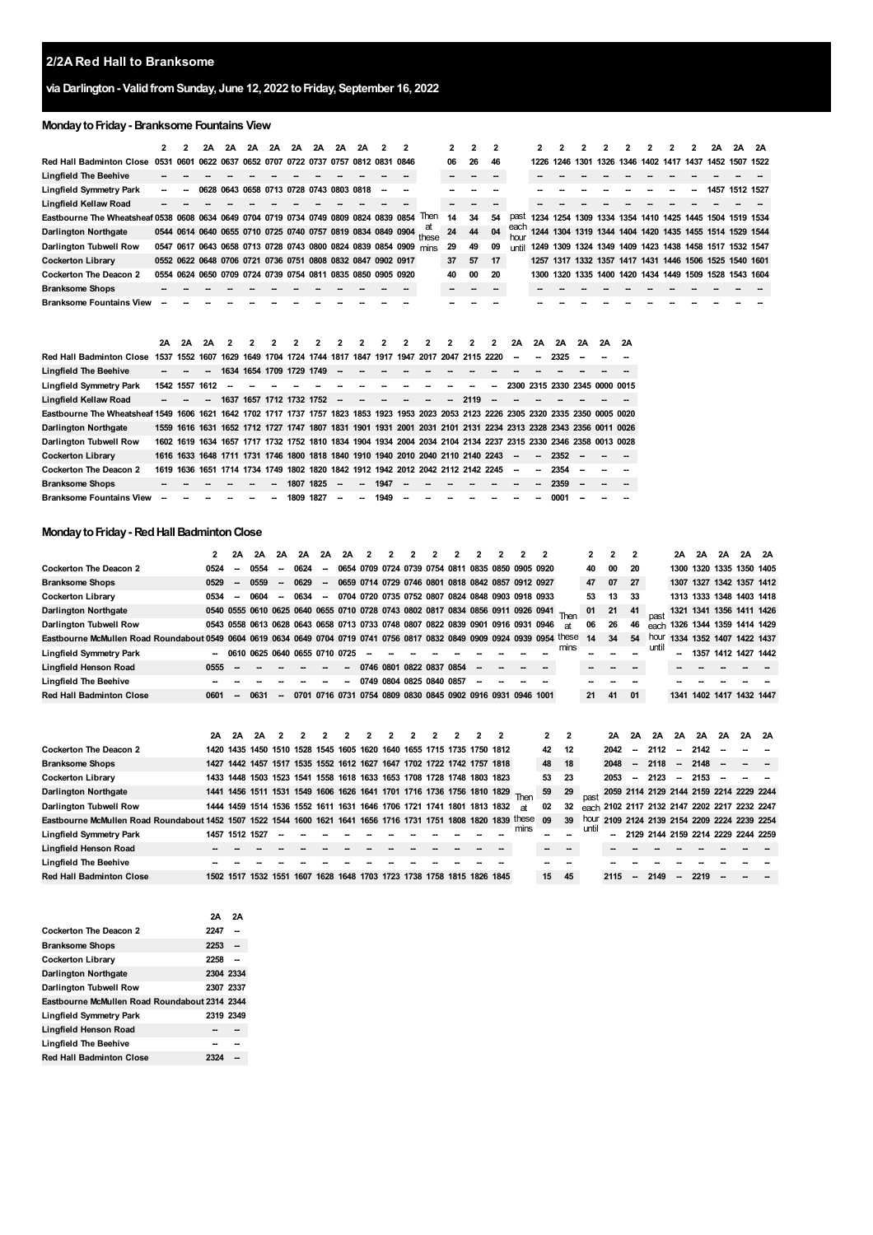#### **2/2A Red Hall to Branksome**

# **via Darlington- ValidfromSunday, June 12, 2022 toFriday, September 16, 2022**

# **MondaytoFriday- Branksome Fountains View**

|                                                                                                                                         | $\mathbf{2}$ |                | 2Α   | 2A   | 2A | 2A                                                          | 2A        | 2A   | 2A                       | 2A | 2    | 2    |                                                                                                               | 2  | 2    | $\overline{2}$ |             | 2    | 2    |                                                        |    |           | 2 | 2 | 2 | 2A   | 2A        | 2A |
|-----------------------------------------------------------------------------------------------------------------------------------------|--------------|----------------|------|------|----|-------------------------------------------------------------|-----------|------|--------------------------|----|------|------|---------------------------------------------------------------------------------------------------------------|----|------|----------------|-------------|------|------|--------------------------------------------------------|----|-----------|---|---|---|------|-----------|----|
| <b>Red Hall Badminton Close</b>                                                                                                         | 0531 0601    |                |      |      |    | 0622 0637 0652 0707 0722 0737 0757 0812 0831                |           |      |                          |    |      | 0846 |                                                                                                               | 06 | 26   | 46             |             | 1226 |      | 1246 1301 1326 1346 1402 1417 1437 1452 1507 1522      |    |           |   |   |   |      |           |    |
| <b>Lingfield The Beehive</b>                                                                                                            |              |                |      |      |    |                                                             |           |      |                          |    |      |      |                                                                                                               |    |      |                |             |      |      |                                                        |    |           |   |   |   |      |           |    |
| Lingfield Symmetry Park                                                                                                                 |              |                | 0628 |      |    | 0643 0658 0713 0728 0743 0803 0818                          |           |      |                          |    |      |      |                                                                                                               |    |      |                |             |      |      |                                                        |    |           |   |   |   | 1457 | 1512 1527 |    |
| Lingfield Kellaw Road                                                                                                                   |              |                |      |      |    |                                                             |           |      |                          |    |      |      |                                                                                                               |    |      |                |             |      |      |                                                        |    |           |   |   |   |      |           |    |
| Eastbourne The Wheatsheaf 0538 0608 0634 0649 0704 0719 0734 0749 0809 0824 0839 0854                                                   |              |                |      |      |    |                                                             |           |      |                          |    |      |      | Then                                                                                                          | 14 | 34   | 54             | past        |      |      | 1234 1254 1309 1334 1354 1410 1425 1445 1504 1519 1534 |    |           |   |   |   |      |           |    |
| <b>Darlington Northgate</b>                                                                                                             |              |                |      |      |    | 0544 0614 0640 0655 0710 0725 0740 0757 0819 0834 0849 0904 |           |      |                          |    |      |      | аι<br>these                                                                                                   | 24 | 44   | 04             | each<br>hou |      |      | 1244 1304 1319 1344 1404 1420 1435 1455 1514 1529 1544 |    |           |   |   |   |      |           |    |
| Darlington Tubwell Row                                                                                                                  |              |                |      |      |    |                                                             |           |      |                          |    |      |      | 0547 0617 0643 0658 0713 0728 0743 0800 0824 0839 0854 0909 mins                                              | 29 | 49   | 09             | until       |      |      | 1249 1309 1324 1349 1409 1423 1438 1458 1517 1532 1547 |    |           |   |   |   |      |           |    |
| <b>Cockerton Library</b>                                                                                                                |              |                |      |      |    | 0552 0622 0648 0706 0721 0736 0751 0808 0832 0847 0902 0917 |           |      |                          |    |      |      |                                                                                                               | 37 | 57   | 17             |             |      |      | 1257 1317 1332 1357 1417 1431 1446 1506 1525 1540 1601 |    |           |   |   |   |      |           |    |
| <b>Cockerton The Deacon 2</b>                                                                                                           |              |                |      |      |    | 0554 0624 0650 0709 0724 0739 0754 0811 0835 0850 0905 0920 |           |      |                          |    |      |      |                                                                                                               | 40 | 00   | 20             |             |      |      | 1300 1320 1335 1400 1420 1434 1449 1509 1528 1543 1604 |    |           |   |   |   |      |           |    |
| <b>Branksome Shops</b>                                                                                                                  |              |                |      |      |    |                                                             |           |      |                          |    |      |      |                                                                                                               |    |      |                |             |      |      |                                                        |    |           |   |   |   |      |           |    |
| <b>Branksome Fountains View</b>                                                                                                         |              |                |      |      |    |                                                             |           |      |                          |    |      |      |                                                                                                               |    |      |                |             |      |      |                                                        |    |           |   |   |   |      |           |    |
|                                                                                                                                         |              |                |      |      |    |                                                             |           |      |                          |    |      |      |                                                                                                               |    |      |                |             |      |      |                                                        |    |           |   |   |   |      |           |    |
|                                                                                                                                         |              |                |      |      |    |                                                             |           |      |                          |    |      |      |                                                                                                               |    |      |                |             |      |      |                                                        |    |           |   |   |   |      |           |    |
|                                                                                                                                         | 2A           | 2A             | 2A   |      |    |                                                             |           |      |                          |    |      |      |                                                                                                               |    | 2    | 2              | 2Α          | 2A   | 2A   | 2A                                                     | 2Α | <b>2A</b> |   |   |   |      |           |    |
| <b>Red Hall Badminton Close</b>                                                                                                         |              | 1537 1552      | 1607 | 1629 |    |                                                             |           |      |                          |    |      |      | 1649 1704 1724 1744 1817 1847 1917 1947 2017 2047 2115 2220                                                   |    |      |                |             |      | 2325 |                                                        |    |           |   |   |   |      |           |    |
| <b>Lingfield The Beehive</b>                                                                                                            |              |                |      |      |    | 1634 1654 1709 1729 1749                                    |           |      | $\overline{\phantom{a}}$ |    |      |      |                                                                                                               |    |      |                |             |      |      |                                                        |    |           |   |   |   |      |           |    |
| Lingfield Symmetry Park                                                                                                                 |              | 1542 1557 1612 |      |      |    |                                                             |           |      |                          |    |      |      |                                                                                                               |    |      |                |             |      |      | 2300 2315 2330 2345 0000 0015                          |    |           |   |   |   |      |           |    |
| <b>Lingfield Kellaw Road</b>                                                                                                            |              |                |      |      |    | 1637 1657 1712 1732 1752                                    |           |      | $\overline{\phantom{a}}$ |    |      |      |                                                                                                               |    | 2119 |                |             |      |      |                                                        |    |           |   |   |   |      |           |    |
| Eastbourne The Wheatsheaf 1549 1606 1621 1642 1702 1717 1737 1757 1823 1853 1923 1953 2023 2053 2123 2226 2305 2320 2335 2350 0005 0020 |              |                |      |      |    |                                                             |           |      |                          |    |      |      |                                                                                                               |    |      |                |             |      |      |                                                        |    |           |   |   |   |      |           |    |
| <b>Darlington Northgate</b>                                                                                                             |              |                |      |      |    |                                                             |           |      |                          |    |      |      | 1559 1616 1631 1652 1712 1727 1747 1807 1831 1901 1931 2001 2031 2101 2131 2234 2313 2328 2343 2356 0011 0026 |    |      |                |             |      |      |                                                        |    |           |   |   |   |      |           |    |
| Darlington Tubwell Row                                                                                                                  |              |                |      |      |    |                                                             |           |      |                          |    |      |      | 1602 1619 1634 1657 1717 1732 1752 1810 1834 1904 1934 2004 2034 2104 2134 2237 2315 2330 2346 2358 0013 0028 |    |      |                |             |      |      |                                                        |    |           |   |   |   |      |           |    |
| <b>Cockerton Library</b>                                                                                                                |              |                |      |      |    |                                                             |           |      |                          |    |      |      | 1616 1633 1648 1711 1731 1746 1800 1818 1840 1910 1940 2010 2040 2110 2140 2243                               |    |      |                |             |      | 2352 |                                                        |    |           |   |   |   |      |           |    |
| <b>Cockerton The Deacon 2</b>                                                                                                           |              |                |      |      |    |                                                             |           |      |                          |    |      |      | 1619 1636 1651 1714 1734 1749 1802 1820 1842 1912 1942 2012 2042 2112 2142 2245                               |    |      |                |             |      | 2354 |                                                        |    |           |   |   |   |      |           |    |
| <b>Branksome Shops</b>                                                                                                                  |              |                |      |      |    |                                                             | 1807 1825 |      |                          |    | 1947 |      |                                                                                                               |    |      |                |             |      | 2359 |                                                        |    |           |   |   |   |      |           |    |
| <b>Branksome Fountains View</b>                                                                                                         |              |                |      |      |    |                                                             | 1809      | 1827 |                          |    | 1949 |      |                                                                                                               |    |      |                |             |      | 0001 |                                                        |    |           |   |   |   |      |           |    |

# **Monday to Friday - Red Hall Badminton Close**

|                                                                                                                     | 2                        | 2A             | 2A   | 2A   | 2A                            | <b>2A</b>                | 2A | $\overline{2}$ | $\mathbf{2}$ | $\overline{2}$           | $\overline{2}$ | $\overline{2}$ |                                                                            | 2 |                                                                                      | 2            |           | $\mathbf{2}$ | 2                                            | $\mathbf{2}$             |       | 2Α                       | 2A        | 2A | 2A                                      | - 2A |
|---------------------------------------------------------------------------------------------------------------------|--------------------------|----------------|------|------|-------------------------------|--------------------------|----|----------------|--------------|--------------------------|----------------|----------------|----------------------------------------------------------------------------|---|--------------------------------------------------------------------------------------|--------------|-----------|--------------|----------------------------------------------|--------------------------|-------|--------------------------|-----------|----|-----------------------------------------|------|
| <b>Cockerton The Deacon 2</b>                                                                                       | 0524                     |                | 0554 |      | 0624                          |                          |    |                |              |                          |                |                |                                                                            |   | 0654 0709 0724 0739 0754 0811 0835 0850 0905 0920                                    |              |           | 40           | 00                                           | 20                       |       |                          |           |    | 1300 1320 1335 1350 1405                |      |
| <b>Branksome Shops</b>                                                                                              | 0529                     |                | 0559 |      | 0629                          | $\sim$                   |    |                |              |                          |                |                |                                                                            |   | 0659 0714 0729 0746 0801 0818 0842 0857 0912 0927                                    |              |           | 47           | 07                                           | 27                       |       |                          |           |    | 1307 1327 1342 1357 1412                |      |
| <b>Cockerton Library</b>                                                                                            | 0534                     |                | 0604 |      | 0634                          | $\overline{\phantom{a}}$ |    |                |              |                          |                |                |                                                                            |   | 0704 0720 0735 0752 0807 0824 0848 0903 0918 0933                                    |              |           | 53           | 13                                           | 33                       |       |                          |           |    | 1313 1333 1348 1403 1418                |      |
| <b>Darlington Northgate</b>                                                                                         |                          |                |      |      |                               |                          |    |                |              |                          |                |                |                                                                            |   | 0540 0555 0610 0625 0640 0655 0710 0728 0743 0802 0817 0834 0856 0911 0926 0941 Then |              |           | 01           | 21                                           | 41                       |       |                          |           |    | 1321 1341 1356 1411 1426                |      |
| Darlington Tubwell Row                                                                                              |                          |                |      |      |                               |                          |    |                |              |                          |                |                |                                                                            |   | 0543 0558 0613 0628 0643 0658 0713 0733 0748 0807 0822 0839 0901 0916 0931 0946      |              | <b>at</b> | 06           | 26                                           | 46                       |       |                          |           |    | each 1326 1344 1359 1414 1429           |      |
| Eastbourne McMullen Road Roundabout 0549 0604 0619 0634 0649 0704 0719 0741 0756 0817 0832 0849 0909 0924 0939 0954 |                          |                |      |      |                               |                          |    |                |              |                          |                |                |                                                                            |   |                                                                                      |              | these     | 14           | 34                                           | 54                       | hour  |                          |           |    | 1334 1352 1407 1422 1437                |      |
| <b>Lingfield Symmetry Park</b>                                                                                      | $\overline{\phantom{a}}$ |                |      |      | 0610 0625 0640 0655 0710 0725 |                          |    |                |              |                          |                |                |                                                                            |   |                                                                                      |              | mins      |              |                                              |                          | until |                          | 1357      |    | 1412 1427 1442                          |      |
| Lingfield Henson Road                                                                                               | 0555                     |                |      |      |                               |                          |    |                |              | 0746 0801 0822 0837 0854 |                |                |                                                                            |   |                                                                                      |              |           |              |                                              |                          |       |                          |           |    |                                         |      |
| <b>Lingfield The Beehive</b>                                                                                        |                          |                |      |      |                               |                          |    |                |              | 0749 0804 0825 0840 0857 |                |                |                                                                            |   |                                                                                      |              |           |              |                                              |                          |       |                          |           |    |                                         |      |
| <b>Red Hall Badminton Close</b>                                                                                     | 0601                     |                | 0631 |      | 0701                          |                          |    |                |              |                          |                |                |                                                                            |   | 0716 0731 0754 0809 0830 0845 0902 0916 0931 0946 1001                               |              |           | 21           | 41                                           | 01                       |       |                          |           |    | 1341 1402 1417 1432 1447                |      |
|                                                                                                                     |                          |                |      |      |                               |                          |    |                |              |                          |                |                |                                                                            |   |                                                                                      |              |           |              |                                              |                          |       |                          |           |    |                                         |      |
|                                                                                                                     | 2Α                       | 2A             | 2A   |      |                               |                          |    |                |              |                          |                |                |                                                                            |   |                                                                                      | $\mathbf{2}$ | 2         |              | 2Α                                           | 2A                       | 2A    | <b>2A</b>                | <b>2A</b> | 2A | 2A                                      | - 2A |
| <b>Cockerton The Deacon 2</b>                                                                                       | 1420                     |                |      |      |                               |                          |    |                |              |                          |                |                | 1435 1450 1510 1528 1545 1605 1620 1640 1655 1715 1735 1750 1812           |   |                                                                                      | 42           | 12        |              | 2042                                         | $\overline{\phantom{a}}$ | 2112  | $\overline{\phantom{a}}$ | 2142      |    |                                         |      |
| <b>Branksome Shops</b>                                                                                              |                          |                |      |      |                               |                          |    |                |              |                          |                |                | 1427 1442 1457 1517 1535 1552 1612 1627 1647 1702 1722 1742 1757 1818      |   |                                                                                      | 48           | 18        |              | 2048                                         | $\overline{\phantom{a}}$ | 2118  |                          | 2148      |    |                                         |      |
| <b>Cockerton Library</b>                                                                                            | 1433                     |                |      |      |                               |                          |    |                |              |                          |                |                | 1448 1503 1523 1541 1558 1618 1633 1653 1708 1728 1748 1803 1823           |   |                                                                                      | 53           | 23        |              | 2053                                         |                          | 2123  | $\overline{\phantom{a}}$ | 2153      |    |                                         |      |
| <b>Darlington Northgate</b>                                                                                         |                          |                |      |      |                               |                          |    |                |              |                          |                |                | 1441 1456 1511 1531 1549 1606 1626 1641 1701 1716 1736 1756 1810 1829 Then |   |                                                                                      | 59           | 29        | past         |                                              |                          |       |                          |           |    | 2059 2114 2129 2144 2159 2214 2229 2244 |      |
| Darlington Tubwell Row                                                                                              |                          |                |      |      |                               |                          |    |                |              |                          |                |                | 1444 1459 1514 1536 1552 1611 1631 1646 1706 1721 1741 1801 1813 1832      |   | аt                                                                                   | 02           | 32        |              | each 2102 2117 2132 2147 2202 2217 2232 2247 |                          |       |                          |           |    |                                         |      |
| Eastbourne McMullen Road Roundabout 1452 1507                                                                       |                          |                |      |      |                               |                          |    |                |              |                          |                |                | 1522 1544 1600 1621 1641 1656 1716 1731 1751 1808 1820 1839                |   | these                                                                                | 09           | 39        | hour         | 2109 2124 2139 2154 2209 2224 2239 2254      |                          |       |                          |           |    |                                         |      |
| <b>Lingfield Symmetry Park</b>                                                                                      |                          | 1457 1512 1527 |      |      |                               |                          |    |                |              |                          |                |                |                                                                            |   | mins                                                                                 |              |           | until        |                                              |                          |       |                          |           |    | 2129 2144 2159 2214 2229 2244 2259      |      |
| Lingfield Henson Road                                                                                               |                          |                |      |      |                               |                          |    |                |              |                          |                |                |                                                                            |   |                                                                                      |              |           |              |                                              |                          |       |                          |           |    |                                         |      |
| <b>Lingfield The Beehive</b>                                                                                        |                          |                |      |      |                               |                          |    |                |              |                          |                |                |                                                                            |   |                                                                                      |              |           |              |                                              |                          |       |                          |           |    |                                         |      |
| <b>Red Hall Badminton Close</b>                                                                                     |                          | 1502 1517      | 1532 | 1551 | 1607                          | 1628                     |    |                |              |                          |                |                | 1648 1703 1723 1738 1758 1815 1826 1845                                    |   |                                                                                      | 15           | 45        |              | 2115                                         |                          | 2149  |                          | 2219      |    |                                         |      |

|                                               | 2Α        | 2Δ                       |
|-----------------------------------------------|-----------|--------------------------|
| Cockerton The Deacon 2                        | 2247      |                          |
| <b>Branksome Shops</b>                        | 2253      | $\overline{\phantom{a}}$ |
| <b>Cockerton Library</b>                      | 2258      |                          |
| Darlington Northgate                          | 2304 2334 |                          |
| Darlington Tubwell Row                        | 2307 2337 |                          |
| Eastbourne McMullen Road Roundabout 2314 2344 |           |                          |
| Lingfield Symmetry Park                       | 2319 2349 |                          |
| Lingfield Henson Road                         |           |                          |
| Linafield The Beehive                         |           |                          |
| <b>Red Hall Badminton Close</b>               |           |                          |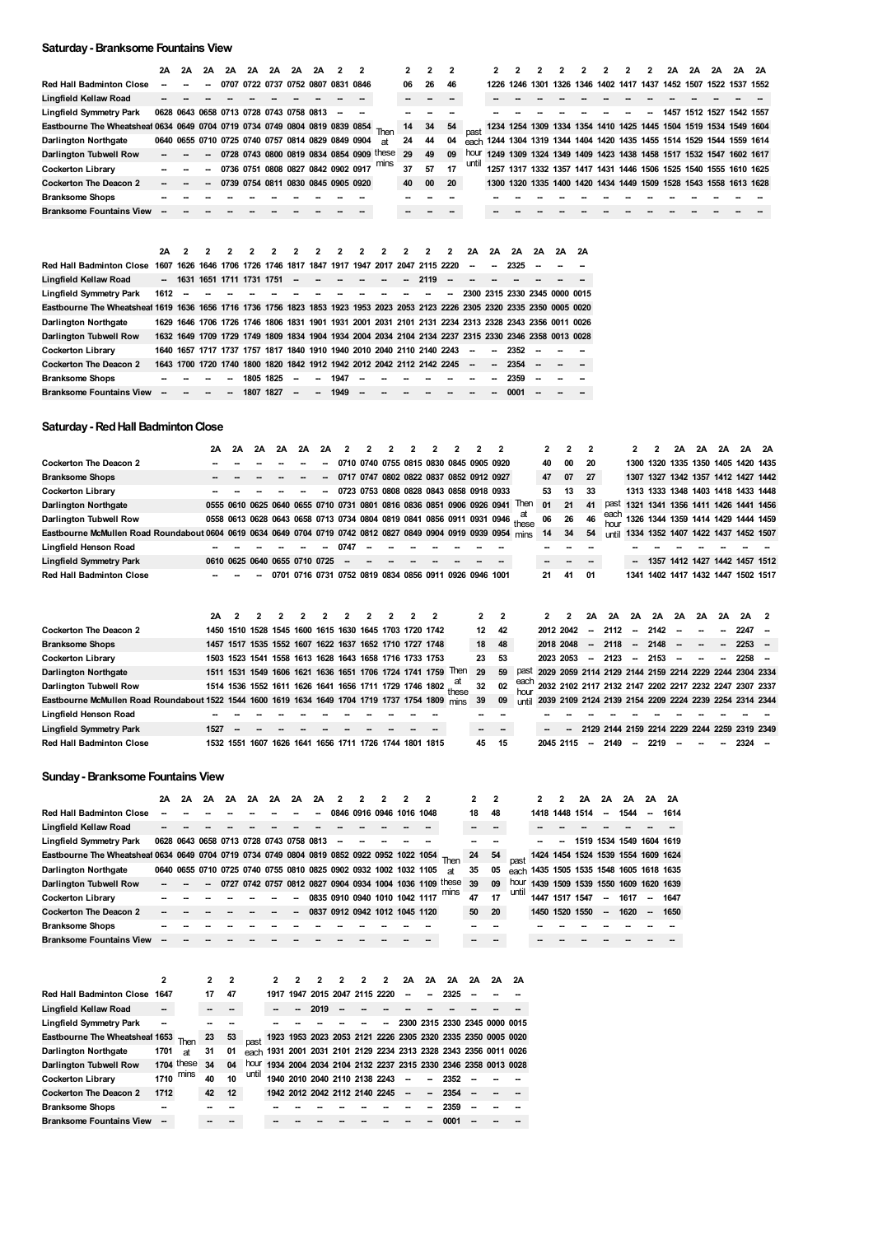#### **Saturday- Branksome Fountains View**

|                                                                                  | 2Α | 2Α                                                | 2Α | 2Α | 2A | 2A                                 | 2A | 2Α |  |                                          |    |    |     |       |                                                                       |                                                                  |  |  |  | 2A                                      | 2A        | 2A | 2Α        | 2A |
|----------------------------------------------------------------------------------|----|---------------------------------------------------|----|----|----|------------------------------------|----|----|--|------------------------------------------|----|----|-----|-------|-----------------------------------------------------------------------|------------------------------------------------------------------|--|--|--|-----------------------------------------|-----------|----|-----------|----|
| <b>Red Hall Badminton Close</b>                                                  |    |                                                   |    |    |    | 0707 0722 0737 0752 0807 0831 0846 |    |    |  |                                          | 06 | 26 | 46  |       | 1226.                                                                 | 1246 1301                                                        |  |  |  | 1326 1346 1402 1417 1437 1452 1507 1522 |           |    | 1537 1552 |    |
| Lingfield Kellaw Road                                                            |    |                                                   |    |    |    |                                    |    |    |  |                                          |    |    |     |       |                                                                       |                                                                  |  |  |  |                                         |           |    |           |    |
| <b>Lingfield Symmetry Park</b>                                                   |    | 0628 0643 0658 0713 0728 0743 0758 0813           |    |    |    |                                    |    |    |  |                                          |    |    |     |       |                                                                       |                                                                  |  |  |  | 1457                                    | 1512 1527 |    | 1542 1557 |    |
| Eastbourne The Wheatsheaf 0634 0649 0704 0719 0734 0749 0804 0819 0839 0854 Then |    |                                                   |    |    |    |                                    |    |    |  |                                          | 14 | 34 | -54 |       | 1234 1254 1309 1334 1354 1410 1425 1445 1504 1519 1534 1549 1604      |                                                                  |  |  |  |                                         |           |    |           |    |
| Darlington Northgate                                                             |    | 0640 0655 0710 0725 0740 0757 0814 0829 0849 0904 |    |    |    |                                    |    |    |  | яt                                       | 24 | 44 | 04  |       | each 1244 1304 1319 1344 1404 1420 1435 1455 1514 1529 1544 1559 1614 |                                                                  |  |  |  |                                         |           |    |           |    |
| Darlington Tubwell Row                                                           |    |                                                   |    |    |    |                                    |    |    |  | 0728 0743 0800 0819 0834 0854 0909 these | 29 | 49 | 09  | hour  | 1249 1309 1324 1349 1409 1423 1438 1458 1517 1532 1547 1602 1617      |                                                                  |  |  |  |                                         |           |    |           |    |
| <b>Cockerton Library</b>                                                         |    |                                                   |    |    |    | 0736 0751 0808 0827 0842 0902 0917 |    |    |  |                                          | 37 | 57 | 17  | until |                                                                       | 1257 1317 1332 1357 1417 1431 1446 1506 1525 1540 1555 1610 1625 |  |  |  |                                         |           |    |           |    |
| <b>Cockerton The Deacon 2</b>                                                    | -- |                                                   | ⊷  |    |    | 0739 0754 0811 0830 0845 0905 0920 |    |    |  |                                          | 40 | 00 | 20  |       |                                                                       | 1300 1320 1335 1400 1420 1434 1449 1509 1528 1543 1558 1613 1628 |  |  |  |                                         |           |    |           |    |
| <b>Branksome Shops</b>                                                           |    |                                                   |    |    |    |                                    |    |    |  |                                          |    |    |     |       |                                                                       |                                                                  |  |  |  |                                         |           |    |           |    |
| <b>Branksome Fountains View</b>                                                  |    |                                                   |    |    |    |                                    |    |    |  |                                          |    |    |     |       |                                                                       |                                                                  |  |  |  |                                         |           |    |           |    |
|                                                                                  |    |                                                   |    |    |    |                                    |    |    |  |                                          |    |    |     |       |                                                                       |                                                                  |  |  |  |                                         |           |    |           |    |

|                                                                                                                               | 2A   |                          | 2, 2, 2                    |                          | $\overline{\mathbf{2}}$ | $\overline{ }$ | $\overline{\phantom{a}}$ | $\overline{\phantom{a}}$ | $\overline{\phantom{a}}$ | $\overline{\phantom{a}}$                                                                            | $\overline{2}$ | $\overline{\phantom{a}}$ | 2    | 2 | 2A                            | 2A                       | 2A        | 2A | 2A 2A |  |
|-------------------------------------------------------------------------------------------------------------------------------|------|--------------------------|----------------------------|--------------------------|-------------------------|----------------|--------------------------|--------------------------|--------------------------|-----------------------------------------------------------------------------------------------------|----------------|--------------------------|------|---|-------------------------------|--------------------------|-----------|----|-------|--|
| Red Hall Badminton Close                                                                                                      |      |                          |                            |                          |                         |                |                          |                          |                          | 1607 1626 1646 1706 1726 1746 1817 1847 1917 1947 2017 2047 2115 2220                               |                |                          |      |   | $\overline{\phantom{a}}$      | $\overline{\phantom{a}}$ | 2325      |    |       |  |
| Lingfield Kellaw Road                                                                                                         |      |                          | - 1631 1651 1711 1731 1751 |                          |                         |                | $\overline{\phantom{a}}$ | .                        |                          |                                                                                                     |                | $\overline{\phantom{a}}$ | 2119 |   |                               |                          |           |    |       |  |
| Lingfield Symmetry Park                                                                                                       | 1612 | $\overline{\phantom{a}}$ |                            |                          |                         |                |                          |                          |                          |                                                                                                     |                |                          |      |   | 2300 2315 2330 2345 0000 0015 |                          |           |    |       |  |
| Eastbourne The Wheatsheaf 1619 1636 1656 1716 1736 1756 1823 1853 1923 1953 2023 2053 2123 2226 2305 2320 2335 2350 0005 0020 |      |                          |                            |                          |                         |                |                          |                          |                          |                                                                                                     |                |                          |      |   |                               |                          |           |    |       |  |
| Darlington Northgate                                                                                                          |      |                          |                            |                          |                         |                |                          |                          |                          | 1629 1646 1706 1726 1746 1806 1831 1901 1931 2001 2031 2101 2131 2234 2313 2328 2343 2356 0011 0026 |                |                          |      |   |                               |                          |           |    |       |  |
| Darlington Tubwell Row                                                                                                        |      |                          |                            |                          |                         |                |                          |                          |                          | 1632 1649 1709 1729 1749 1809 1834 1904 1934 2004 2034 2104 2134 2237 2315 2330 2346 2358 0013 0028 |                |                          |      |   |                               |                          |           |    |       |  |
| Cockerton Library                                                                                                             |      |                          |                            |                          |                         |                |                          |                          |                          | 1640 1657 1717 1737 1757 1817 1840 1910 1940 2010 2040 2110 2140 2243                               |                |                          |      |   | $\overline{\phantom{a}}$      | $\overline{a}$           | - 2352 -  |    |       |  |
| <b>Cockerton The Deacon 2</b>                                                                                                 |      |                          |                            |                          |                         |                |                          |                          |                          | 1643 1700 1720 1740 1800 1820 1842 1912 1942 2012 2042 2112 2142 2245                               |                |                          |      |   | $\overline{\phantom{a}}$      |                          | $-2354 -$ |    |       |  |
| <b>Branksome Shops</b>                                                                                                        | --   |                          |                            |                          | 1805 1825               |                | --                       | $\overline{\phantom{a}}$ | 1947                     |                                                                                                     |                |                          |      |   |                               |                          | 2359      |    |       |  |
| <b>Branksome Fountains View</b>                                                                                               | --   |                          |                            | $\overline{\phantom{a}}$ | 1807                    | 1827           | ш,                       | $\sim$                   | 1949                     | $\overline{\phantom{a}}$                                                                            |                |                          |      |   |                               |                          | 0001      |    |       |  |

# **Saturday - Red Hall Badminton Close**

|                                                                                                                | 2A   | 2A             | 2A | 2A                                                                    | 2A                                 | 2A | 2 | 2                                       |  |                |              |                                                                       |              | 2         | 2  |        |              | 2                        |           | 2A                       | 2A        | 2A        | 2A 2A                                                  |  |
|----------------------------------------------------------------------------------------------------------------|------|----------------|----|-----------------------------------------------------------------------|------------------------------------|----|---|-----------------------------------------|--|----------------|--------------|-----------------------------------------------------------------------|--------------|-----------|----|--------|--------------|--------------------------|-----------|--------------------------|-----------|-----------|--------------------------------------------------------|--|
| <b>Cockerton The Deacon 2</b>                                                                                  |      |                |    |                                                                       |                                    |    |   | 0710 0740 0755 0815 0830 0845 0905 0920 |  |                |              |                                                                       |              | 40        | 00 | 20     |              |                          |           |                          |           |           | 1300 1320 1335 1350 1405 1420 1435                     |  |
| <b>Branksome Shops</b>                                                                                         |      |                |    |                                                                       |                                    |    |   | 0717 0747 0802 0822 0837 0852 0912 0927 |  |                |              |                                                                       |              | 47        | 07 | 27     |              |                          |           |                          |           |           | 1307 1327 1342 1357 1412 1427 1442                     |  |
| <b>Cockerton Library</b>                                                                                       |      |                |    |                                                                       |                                    |    |   | 0723 0753 0808 0828 0843 0858 0918 0933 |  |                |              |                                                                       |              | 53        | 13 | 33     |              |                          |           |                          |           |           | 1313 1333 1348 1403 1418 1433 1448                     |  |
| <b>Darlington Northgate</b>                                                                                    |      |                |    | 0555 0610 0625 0640 0655 0710 0731 0801 0816 0836 0851 0906 0926 0941 |                                    |    |   |                                         |  |                |              |                                                                       | Then         | 01        | 21 | 41     | past         |                          |           |                          |           |           | 1321 1341 1356 1411 1426 1441 1456                     |  |
| Darlington Tubwell Row                                                                                         |      |                |    |                                                                       |                                    |    |   |                                         |  |                |              | 0558 0613 0628 0643 0658 0713 0734 0804 0819 0841 0856 0911 0931 0946 | these        | 06        | 26 | 46     | each<br>hour |                          |           |                          |           |           | 1326 1344 1359 1414 1429 1444 1459                     |  |
| Eastbourne McMullen Road Roundabout 0604 0619 0634 0649 0704 0719 0742 0812 0827 0849 0904 0919 0939 0954 mins |      |                |    |                                                                       |                                    |    |   |                                         |  |                |              |                                                                       |              | 14        | 34 | 54     | until        |                          |           |                          |           |           | 1334 1352 1407 1422 1437 1452 1507                     |  |
| Lingfield Henson Road                                                                                          |      |                |    |                                                                       |                                    |    |   |                                         |  |                |              |                                                                       |              |           |    |        |              |                          |           |                          |           |           |                                                        |  |
| <b>Lingfield Symmetry Park</b>                                                                                 |      | 0610 0625 0640 |    | 0655 0710 0725                                                        |                                    |    |   |                                         |  |                |              |                                                                       |              |           |    |        |              | $\sim$                   |           |                          |           |           | 1357 1412 1427 1442 1457 1512                          |  |
| <b>Red Hall Badminton Close</b>                                                                                |      |                |    | 0701                                                                  | 0716 0731 0752 0819 0834 0856 0911 |    |   |                                         |  | 0926 0946 1001 |              |                                                                       |              | 21        | 41 | 01     |              | 1341                     |           |                          |           |           | 1402 1417 1432 1447 1502 1517                          |  |
|                                                                                                                |      |                |    |                                                                       |                                    |    |   |                                         |  |                |              |                                                                       |              |           |    |        |              |                          |           |                          |           |           |                                                        |  |
|                                                                                                                | 2A   |                |    |                                                                       |                                    |    |   |                                         |  |                | $\mathbf{2}$ | 2                                                                     |              | 2         |    | 2Α     | 2Α           | 2A                       | <b>2A</b> | 2A                       | <b>2A</b> | <b>2A</b> | 2A                                                     |  |
| <b>Cockerton The Deacon 2</b>                                                                                  | 1450 | 1510           |    | 1528 1545 1600 1615 1630 1645 1703 1720 1742                          |                                    |    |   |                                         |  |                | 12           | 42                                                                    |              | 2012 2042 |    |        | 2112         | $\overline{\phantom{a}}$ | 2142      |                          |           |           | $2247 -$                                               |  |
| <b>Branksome Shops</b>                                                                                         |      | 1457 1517      |    | 1535 1552 1607 1622 1637 1652 1710 1727 1748                          |                                    |    |   |                                         |  |                | 18           | 48                                                                    |              | 2018 2048 |    | $\sim$ | 2118         | $\sim$                   | 2148      | $\overline{\phantom{a}}$ |           | -         | $2253 -$                                               |  |
| <b>Cockerton Library</b>                                                                                       |      |                |    | 1503 1523 1541 1558 1613 1628 1643 1658 1716 1733 1753                |                                    |    |   |                                         |  |                | 23           | 53                                                                    |              | 2023 2053 |    | $\sim$ | 2123         | $\overline{\phantom{a}}$ | 2153      |                          |           |           | $2258 -$                                               |  |
| <b>Darlington Northgate</b>                                                                                    |      |                |    | 1511 1531 1549 1606 1621 1636 1651 1706 1724 1741 1759                |                                    |    |   |                                         |  | Then           | 29           | 59                                                                    | past         |           |    |        |              |                          |           |                          |           |           | 2029 2059 2114 2129 2144 2159 2214 2229 2244 2304 2334 |  |
| Darlington Tubwell Row                                                                                         |      |                |    | 1514 1536 1552 1611 1626 1641 1656 1711 1729 1746 1802 these          |                                    |    |   |                                         |  |                | 32           | 02                                                                    | each<br>hour |           |    |        |              |                          |           |                          |           |           | 2032 2102 2117 2132 2147 2202 2217 2232 2247 2307 2337 |  |
| Eastbourne McMullen Road Roundabout 1522 1544 1600 1619 1634 1649 1704 1719 1737 1754 1809 mins                |      |                |    |                                                                       |                                    |    |   |                                         |  |                | 39           | 09                                                                    | <b>until</b> |           |    |        |              |                          |           |                          |           |           | 2039 2109 2124 2139 2154 2209 2224 2239 2254 2314 2344 |  |
| Lingfield Henson Road                                                                                          |      |                |    |                                                                       |                                    |    |   |                                         |  |                |              |                                                                       |              |           |    |        |              |                          |           |                          |           |           |                                                        |  |
| <b>Lingfield Symmetry Park</b>                                                                                 | 1527 |                |    |                                                                       |                                    |    |   |                                         |  |                |              |                                                                       |              |           |    |        |              |                          |           |                          |           |           | 2129 2144 2159 2214 2229 2244 2259 2319 2349           |  |

**1532**

**1551**

**1607**

**1626**

**1641**

**1656**

**1711**

**1726**

**1744**

**1801**

**1815 45 15 2045**

**2115**

**--**

**2149**

**--**

**2219**

**--**

**--**

**--**

**2324**

**--**

**Red Hall Badminton Close**

|                                                                                            | 2Α | 2Α                                                               | 2A | 2Α | 2A | 2A | 2A                       | 2Α |  |                          |                               |                                                         | 2  | 2  |       | 2 |                | 2A | 2A                       | 2A                                 | 2A                       | - 2A |
|--------------------------------------------------------------------------------------------|----|------------------------------------------------------------------|----|----|----|----|--------------------------|----|--|--------------------------|-------------------------------|---------------------------------------------------------|----|----|-------|---|----------------|----|--------------------------|------------------------------------|--------------------------|------|
| <b>Red Hall Badminton Close</b>                                                            |    |                                                                  |    |    |    |    |                          |    |  | 0846 0916 0946 1016 1048 |                               |                                                         | 18 | 48 |       |   | 1418 1448 1514 |    | -                        | 1544                               | $\overline{\phantom{a}}$ | 1614 |
| Lingfield Kellaw Road                                                                      |    |                                                                  |    |    |    |    |                          |    |  |                          |                               |                                                         |    |    |       |   |                |    |                          |                                    |                          |      |
| <b>Lingfield Symmetry Park</b>                                                             |    | 0628 0643 0658 0713 0728 0743 0758 0813                          |    |    |    |    |                          |    |  |                          |                               |                                                         |    |    |       |   |                |    |                          | 1519 1534 1549                     | 1604 1619                |      |
| Eastbourne The Wheatsheaf 0634 0649 0704 0719 0734 0749 0804 0819 0852 0922 0952 1022 1054 |    |                                                                  |    |    |    |    |                          |    |  |                          |                               | Then                                                    | 24 | 54 | past  |   |                |    |                          | 1424 1454 1524 1539 1554 1609 1624 |                          |      |
| <b>Darlington Northgate</b>                                                                |    | 0640 0655 0710 0725 0740 0755 0810 0825 0902 0932 1002 1032 1105 |    |    |    |    |                          |    |  |                          |                               | at                                                      | 35 | 05 | each  |   |                |    |                          | 1435 1505 1535 1548 1605 1618 1635 |                          |      |
| Darlington Tubwell Row                                                                     |    |                                                                  | -- |    |    |    |                          |    |  |                          |                               | 0727 0742 0757 0812 0827 0904 0934 1004 1036 1109 these | 39 | 09 | hour  |   |                |    |                          | 1439 1509 1539 1550 1609 1620 1639 |                          |      |
| <b>Cockerton Library</b>                                                                   |    |                                                                  |    |    |    |    | $\overline{\phantom{a}}$ |    |  |                          |                               | 0835 0910 0940 1010 1042 1117 mins                      | 47 | 17 | until |   | 1447 1517 1547 |    | $\overline{\phantom{a}}$ | 1617                               | μ.                       | 1647 |
| <b>Cockerton The Deacon 2</b>                                                              |    |                                                                  |    |    |    |    | --                       |    |  |                          | 0837 0912 0942 1012 1045 1120 |                                                         | 50 | 20 |       |   | 1450 1520 1550 |    | $\overline{\phantom{a}}$ | 1620                               | $\overline{\phantom{a}}$ | 1650 |
| <b>Branksome Shops</b>                                                                     |    |                                                                  |    |    |    |    |                          |    |  |                          |                               |                                                         |    |    |       |   |                |    |                          |                                    |                          |      |
| <b>Branksome Fountains View</b>                                                            |    |                                                                  |    |    |    |    |                          |    |  |                          |                               |                                                         |    |    |       |   |                |    |                          |                                    |                          |      |
|                                                                                            |    |                                                                  |    |    |    |    |                          |    |  |                          |                               |                                                         |    |    |       |   |                |    |                          |                                    |                          |      |
|                                                                                            |    |                                                                  |    |    |    |    |                          |    |  |                          |                               |                                                         |    |    |       |   |                |    |                          |                                    |                          |      |

|                                 |      |                | 2  |    |       |  |      |                               | 2 | 2A | 2A                       | 2A                                                          | 2A | 2Α | 2Α |
|---------------------------------|------|----------------|----|----|-------|--|------|-------------------------------|---|----|--------------------------|-------------------------------------------------------------|----|----|----|
| Red Hall Badminton Close 1647   |      |                | 17 | 47 |       |  |      | 1917 1947 2015 2047 2115 2220 |   |    | --                       | 2325                                                        |    |    |    |
| Lingfield Kellaw Road           | --   |                |    |    |       |  | 2019 |                               |   |    |                          |                                                             |    |    |    |
| <b>Lingfield Symmetry Park</b>  |      |                |    |    |       |  |      |                               |   |    |                          | 2300 2315 2330 2345 0000 0015                               |    |    |    |
| Eastbourne The Wheatsheaf 1653  |      |                | 23 | 53 | past  |  |      |                               |   |    |                          | 1923 1953 2023 2053 2121 2226 2305 2320 2335 2350 0005 0020 |    |    |    |
| <b>Darlington Northgate</b>     | 1701 | <sub>2</sub> t | 31 | 01 | each  |  |      |                               |   |    |                          | 1931 2001 2031 2101 2129 2234 2313 2328 2343 2356 0011 0026 |    |    |    |
| Darlington Tubwell Row          |      | $1704$ these   | 34 | 04 | hour  |  |      |                               |   |    |                          | 1934 2004 2034 2104 2132 2237 2315 2330 2346 2358 0013 0028 |    |    |    |
| <b>Cockerton Library</b>        | 1710 | mins           | 40 | 10 | until |  |      | 1940 2010 2040 2110 2138 2243 |   |    |                          | 2352                                                        |    |    |    |
| <b>Cockerton The Deacon 2</b>   | 1712 |                | 42 | 12 |       |  |      | 1942 2012 2042 2112 2140 2245 |   |    | $\overline{\phantom{a}}$ | 2354                                                        |    |    |    |
| <b>Branksome Shops</b>          |      |                |    |    |       |  |      |                               |   |    |                          | 2359                                                        |    |    |    |
| <b>Branksome Fountains View</b> |      |                |    |    |       |  |      |                               |   |    |                          |                                                             |    |    |    |